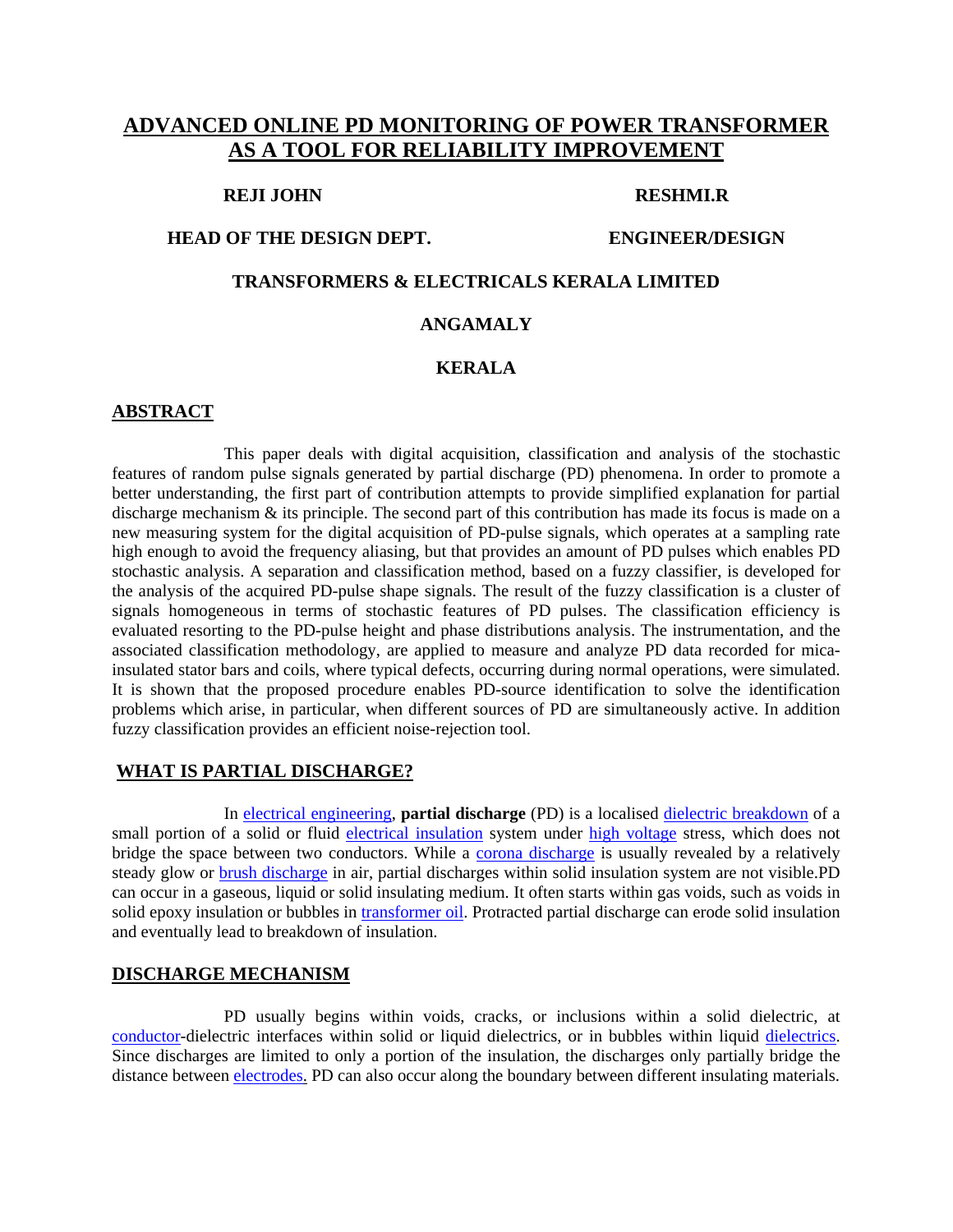# **ADVANCED ONLINE PD MONITORING OF POWER TRANSFORMER AS A TOOL FOR RELIABILITY IMPROVEMENT**

#### **REJI JOHN RESHMI.R**

#### **HEAD OF THE DESIGN DEPT. ENGINEER/DESIGN**

## **TRANSFORMERS & ELECTRICALS KERALA LIMITED**

#### **ANGAMALY**

## **KERALA**

#### **ABSTRACT**

This paper deals with digital acquisition, classification and analysis of the stochastic features of random pulse signals generated by partial discharge (PD) phenomena. In order to promote a better understanding, the first part of contribution attempts to provide simplified explanation for partial discharge mechanism & its principle. The second part of this contribution has made its focus is made on a new measuring system for the digital acquisition of PD-pulse signals, which operates at a sampling rate high enough to avoid the frequency aliasing, but that provides an amount of PD pulses which enables PD stochastic analysis. A separation and classification method, based on a fuzzy classifier, is developed for the analysis of the acquired PD-pulse shape signals. The result of the fuzzy classification is a cluster of signals homogeneous in terms of stochastic features of PD pulses. The classification efficiency is evaluated resorting to the PD-pulse height and phase distributions analysis. The instrumentation, and the associated classification methodology, are applied to measure and analyze PD data recorded for micainsulated stator bars and coils, where typical defects, occurring during normal operations, were simulated. It is shown that the proposed procedure enables PD-source identification to solve the identification problems which arise, in particular, when different sources of PD are simultaneously active. In addition fuzzy classification provides an efficient noise-rejection tool.

#### **WHAT IS PARTIAL DISCHARGE?**

In electrical engineering, **partial discharge** (PD) is a localised dielectric breakdown of a small portion of a solid or fluid electrical insulation system under high voltage stress, which does not bridge the space between two conductors. While a corona discharge is usually revealed by a relatively steady glow or **brush discharge** in air, partial discharges within solid insulation system are not visible.PD can occur in a gaseous, liquid or solid insulating medium. It often starts within gas voids, such as voids in solid epoxy insulation or bubbles in transformer oil. Protracted partial discharge can erode solid insulation and eventually lead to breakdown of insulation.

#### **DISCHARGE MECHANISM**

PD usually begins within voids, cracks, or inclusions within a solid dielectric, at conductor-dielectric interfaces within solid or liquid dielectrics, or in bubbles within liquid dielectrics. Since discharges are limited to only a portion of the insulation, the discharges only partially bridge the distance between electrodes. PD can also occur along the boundary between different insulating materials.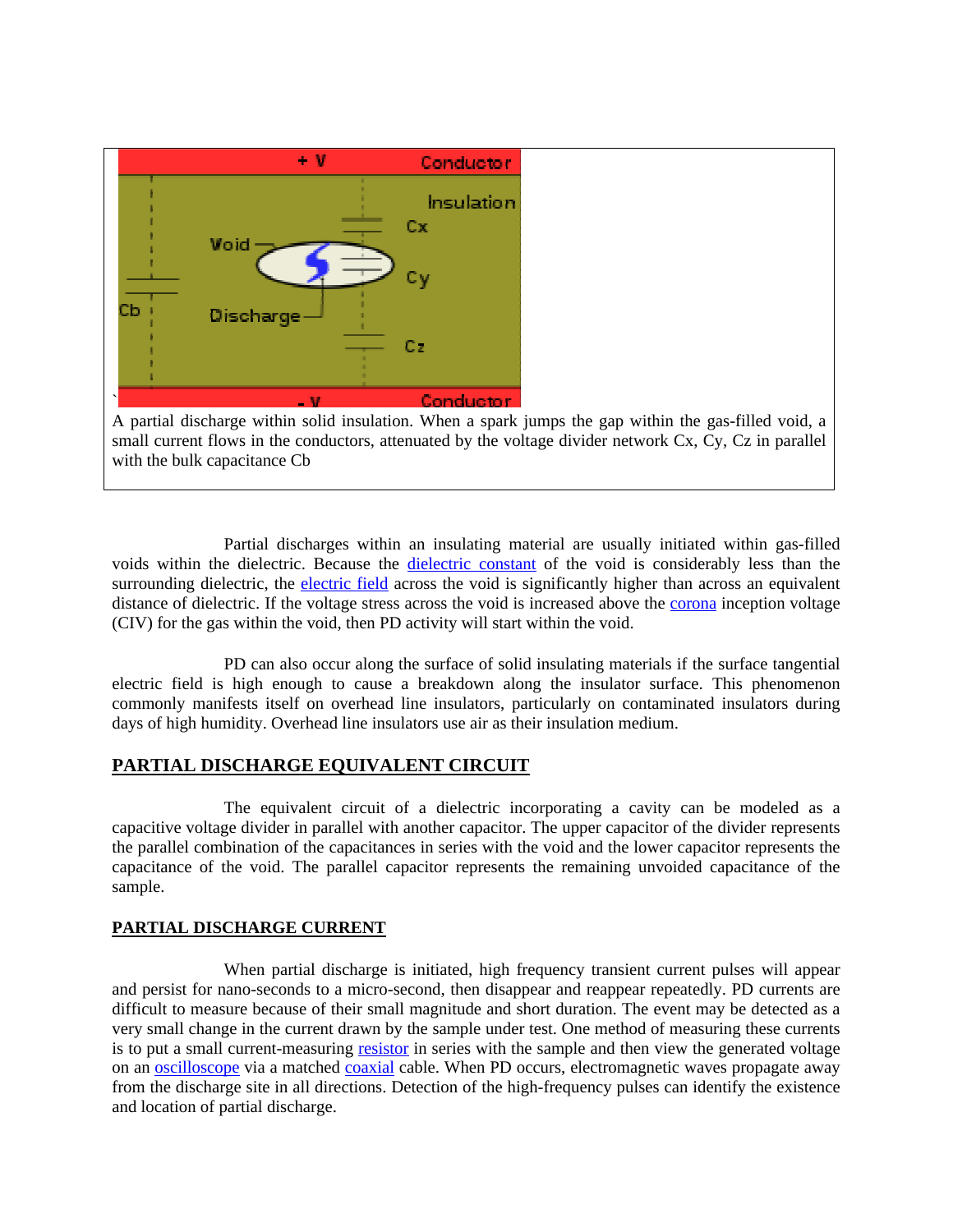

Partial discharges within an insulating material are usually initiated within gas-filled voids within the dielectric. Because the dielectric constant of the void is considerably less than the surrounding dielectric, the electric field across the void is significantly higher than across an equivalent distance of dielectric. If the voltage stress across the void is increased above the corona inception voltage (CIV) for the gas within the void, then PD activity will start within the void.

PD can also occur along the surface of solid insulating materials if the surface tangential electric field is high enough to cause a breakdown along the insulator surface. This phenomenon commonly manifests itself on overhead line insulators, particularly on contaminated insulators during days of high humidity. Overhead line insulators use air as their insulation medium.

## **PARTIAL DISCHARGE EQUIVALENT CIRCUIT**

The equivalent circuit of a dielectric incorporating a cavity can be modeled as a capacitive voltage divider in parallel with another capacitor. The upper capacitor of the divider represents the parallel combination of the capacitances in series with the void and the lower capacitor represents the capacitance of the void. The parallel capacitor represents the remaining unvoided capacitance of the sample.

## **PARTIAL DISCHARGE CURRENT**

When partial discharge is initiated, high frequency transient current pulses will appear and persist for nano-seconds to a micro-second, then disappear and reappear repeatedly. PD currents are difficult to measure because of their small magnitude and short duration. The event may be detected as a very small change in the current drawn by the sample under test. One method of measuring these currents is to put a small current-measuring resistor in series with the sample and then view the generated voltage on an **oscilloscope** via a matched **coaxial** cable. When PD occurs, electromagnetic waves propagate away from the discharge site in all directions. Detection of the high-frequency pulses can identify the existence and location of partial discharge.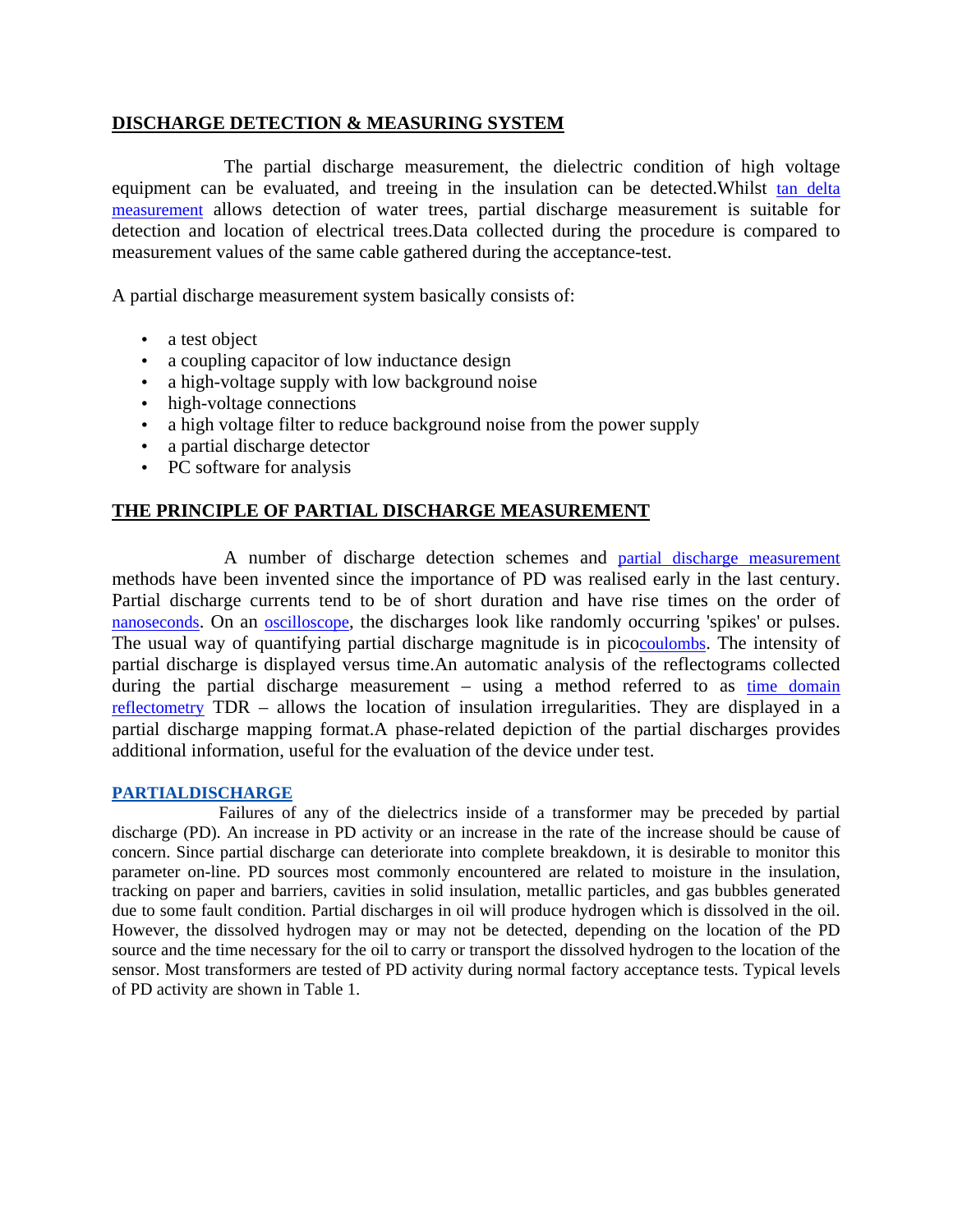## **DISCHARGE DETECTION & MEASURING SYSTEM**

The partial discharge measurement, the dielectric condition of high voltage equipment can be evaluated, and treeing in the insulation can be detected.Whilst tan delta measurement allows detection of water trees, partial discharge measurement is suitable for detection and location of electrical trees.Data collected during the procedure is compared to measurement values of the same cable gathered during the acceptance-test.

A partial discharge measurement system basically consists of:

- a test object
- a coupling capacitor of low inductance design
- a high-voltage supply with low background noise
- high-voltage connections
- a high voltage filter to reduce background noise from the power supply
- a partial discharge detector
- PC software for analysis

## **THE PRINCIPLE OF PARTIAL DISCHARGE MEASUREMENT**

A number of discharge detection schemes and partial discharge measurement methods have been invented since the importance of PD was realised early in the last century. Partial discharge currents tend to be of short duration and have rise times on the order of nanoseconds. On an <u>oscilloscope</u>, the discharges look like randomly occurring 'spikes' or pulses. The usual way of quantifying partial discharge magnitude is in picocoulombs. The intensity of partial discharge is displayed versus time.An automatic analysis of the reflectograms collected during the partial discharge measurement – using a method referred to as time domain reflectometry TDR – allows the location of insulation irregularities. They are displayed in a partial discharge mapping format.A phase-related depiction of the partial discharges provides additional information, useful for the evaluation of the device under test.

## **PARTIALDISCHARGE**

 Failures of any of the dielectrics inside of a transformer may be preceded by partial discharge (PD). An increase in PD activity or an increase in the rate of the increase should be cause of concern. Since partial discharge can deteriorate into complete breakdown, it is desirable to monitor this parameter on-line. PD sources most commonly encountered are related to moisture in the insulation, tracking on paper and barriers, cavities in solid insulation, metallic particles, and gas bubbles generated due to some fault condition. Partial discharges in oil will produce hydrogen which is dissolved in the oil. However, the dissolved hydrogen may or may not be detected, depending on the location of the PD source and the time necessary for the oil to carry or transport the dissolved hydrogen to the location of the sensor. Most transformers are tested of PD activity during normal factory acceptance tests. Typical levels of PD activity are shown in Table 1.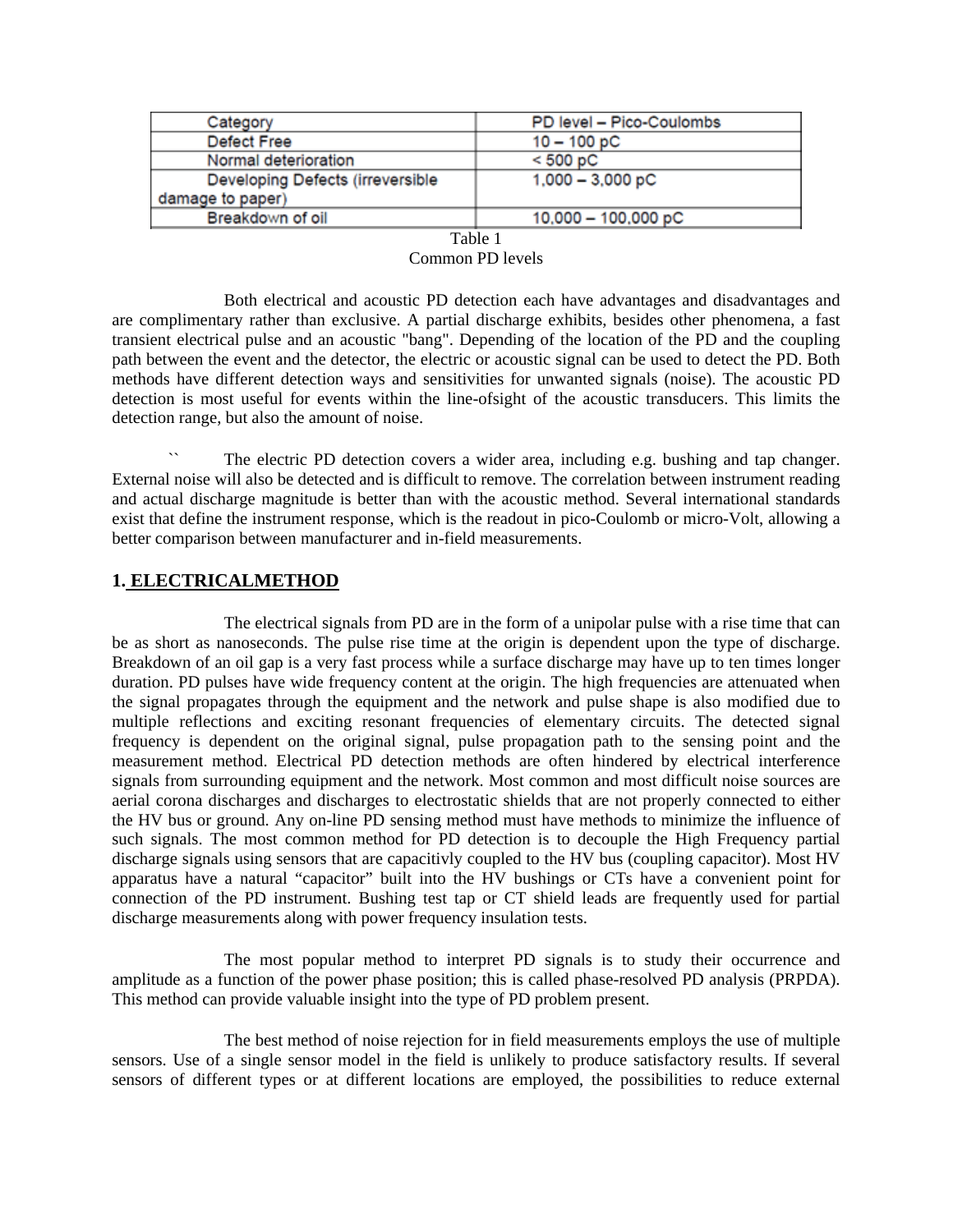| Category                         | PD level - Pico-Coulombs |  |
|----------------------------------|--------------------------|--|
| Defect Free                      | $10 - 100 pC$            |  |
| Normal deterioration             | < 500 pC                 |  |
| Developing Defects (irreversible | $1,000 - 3,000$ pC       |  |
| damage to paper)                 |                          |  |
| Breakdown of oil                 | $10,000 - 100,000$ pC    |  |

## Table 1

#### Common PD levels

 Both electrical and acoustic PD detection each have advantages and disadvantages and are complimentary rather than exclusive. A partial discharge exhibits, besides other phenomena, a fast transient electrical pulse and an acoustic "bang". Depending of the location of the PD and the coupling path between the event and the detector, the electric or acoustic signal can be used to detect the PD. Both methods have different detection ways and sensitivities for unwanted signals (noise). The acoustic PD detection is most useful for events within the line-ofsight of the acoustic transducers. This limits the detection range, but also the amount of noise.

The electric PD detection covers a wider area, including e.g. bushing and tap changer. External noise will also be detected and is difficult to remove. The correlation between instrument reading and actual discharge magnitude is better than with the acoustic method. Several international standards exist that define the instrument response, which is the readout in pico-Coulomb or micro-Volt, allowing a better comparison between manufacturer and in-field measurements.

## **1. ELECTRICALMETHOD**

The electrical signals from PD are in the form of a unipolar pulse with a rise time that can be as short as nanoseconds. The pulse rise time at the origin is dependent upon the type of discharge. Breakdown of an oil gap is a very fast process while a surface discharge may have up to ten times longer duration. PD pulses have wide frequency content at the origin. The high frequencies are attenuated when the signal propagates through the equipment and the network and pulse shape is also modified due to multiple reflections and exciting resonant frequencies of elementary circuits. The detected signal frequency is dependent on the original signal, pulse propagation path to the sensing point and the measurement method. Electrical PD detection methods are often hindered by electrical interference signals from surrounding equipment and the network. Most common and most difficult noise sources are aerial corona discharges and discharges to electrostatic shields that are not properly connected to either the HV bus or ground. Any on-line PD sensing method must have methods to minimize the influence of such signals. The most common method for PD detection is to decouple the High Frequency partial discharge signals using sensors that are capacitivly coupled to the HV bus (coupling capacitor). Most HV apparatus have a natural "capacitor" built into the HV bushings or CTs have a convenient point for connection of the PD instrument. Bushing test tap or CT shield leads are frequently used for partial discharge measurements along with power frequency insulation tests.

The most popular method to interpret PD signals is to study their occurrence and amplitude as a function of the power phase position; this is called phase-resolved PD analysis (PRPDA). This method can provide valuable insight into the type of PD problem present.

The best method of noise rejection for in field measurements employs the use of multiple sensors. Use of a single sensor model in the field is unlikely to produce satisfactory results. If several sensors of different types or at different locations are employed, the possibilities to reduce external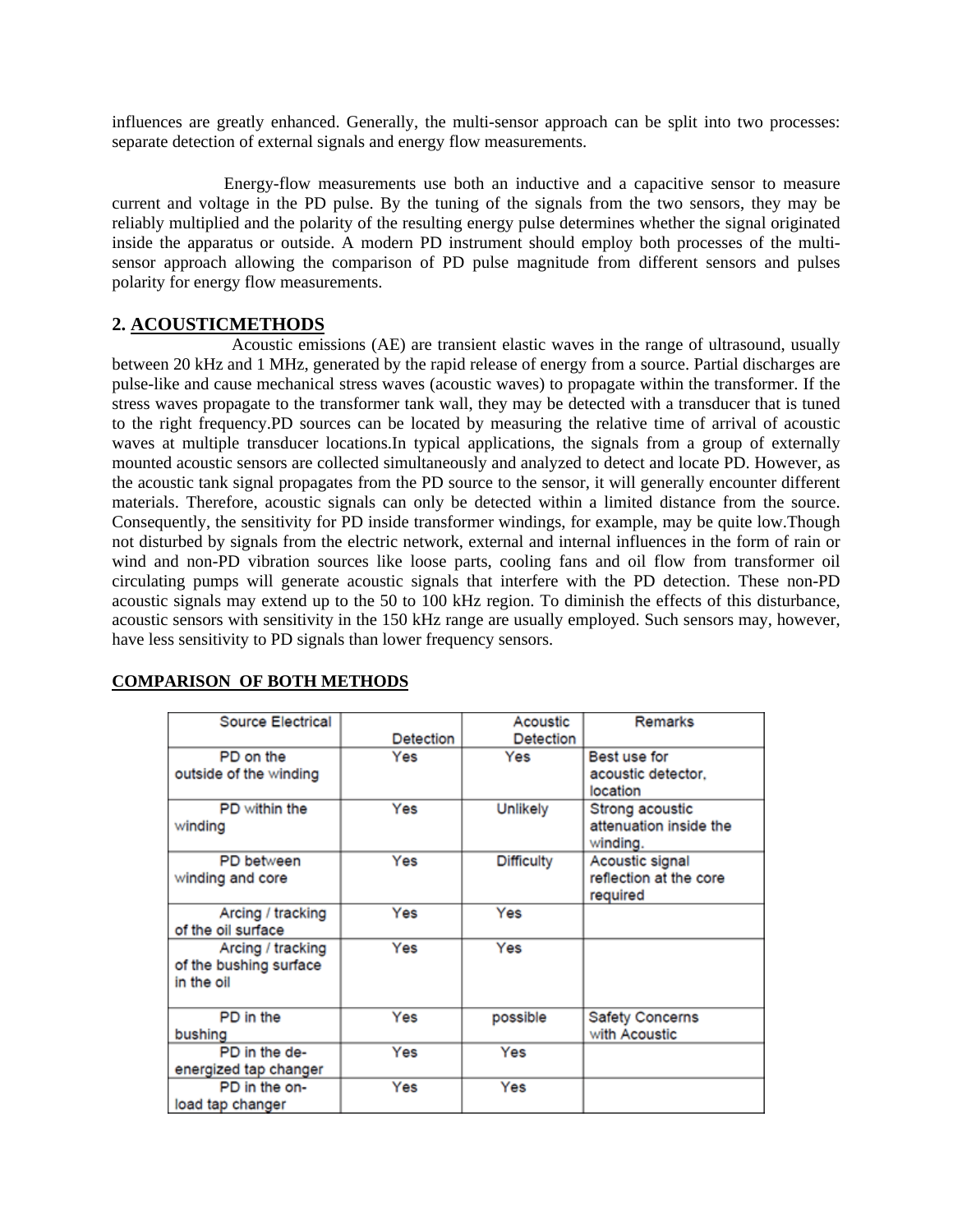influences are greatly enhanced. Generally, the multi-sensor approach can be split into two processes: separate detection of external signals and energy flow measurements.

Energy-flow measurements use both an inductive and a capacitive sensor to measure current and voltage in the PD pulse. By the tuning of the signals from the two sensors, they may be reliably multiplied and the polarity of the resulting energy pulse determines whether the signal originated inside the apparatus or outside. A modern PD instrument should employ both processes of the multisensor approach allowing the comparison of PD pulse magnitude from different sensors and pulses polarity for energy flow measurements.

## **2. ACOUSTICMETHODS**

 Acoustic emissions (AE) are transient elastic waves in the range of ultrasound, usually between 20 kHz and 1 MHz, generated by the rapid release of energy from a source. Partial discharges are pulse-like and cause mechanical stress waves (acoustic waves) to propagate within the transformer. If the stress waves propagate to the transformer tank wall, they may be detected with a transducer that is tuned to the right frequency.PD sources can be located by measuring the relative time of arrival of acoustic waves at multiple transducer locations.In typical applications, the signals from a group of externally mounted acoustic sensors are collected simultaneously and analyzed to detect and locate PD. However, as the acoustic tank signal propagates from the PD source to the sensor, it will generally encounter different materials. Therefore, acoustic signals can only be detected within a limited distance from the source. Consequently, the sensitivity for PD inside transformer windings, for example, may be quite low.Though not disturbed by signals from the electric network, external and internal influences in the form of rain or wind and non-PD vibration sources like loose parts, cooling fans and oil flow from transformer oil circulating pumps will generate acoustic signals that interfere with the PD detection. These non-PD acoustic signals may extend up to the 50 to 100 kHz region. To diminish the effects of this disturbance, acoustic sensors with sensitivity in the 150 kHz range are usually employed. Such sensors may, however, have less sensitivity to PD signals than lower frequency sensors.

| Source Electrical                                         |           | Acoustic          | Remarks                                               |
|-----------------------------------------------------------|-----------|-------------------|-------------------------------------------------------|
|                                                           | Detection | Detection         |                                                       |
| PD on the<br>outside of the winding                       | Yes       | Yes               | Best use for<br>acoustic detector.<br>location        |
| PD within the<br>winding                                  | Yes       | Unlikely          | Strong acoustic<br>attenuation inside the<br>winding. |
| PD between<br>winding and core                            | Yes       | <b>Difficulty</b> | Acoustic signal<br>reflection at the core<br>required |
| Arcing / tracking<br>of the oil surface                   | Yes       | Yes               |                                                       |
| Arcing / tracking<br>of the bushing surface<br>in the oil | Yes       | Yes               |                                                       |
| PD in the<br>bushing                                      | Yes       | possible          | Safety Concerns<br>with Acoustic                      |
| PD in the de-<br>energized tap changer                    | Yes       | Yes               |                                                       |
| PD in the on-<br>load tap changer                         | Yes       | Yes               |                                                       |

#### **COMPARISON OF BOTH METHODS**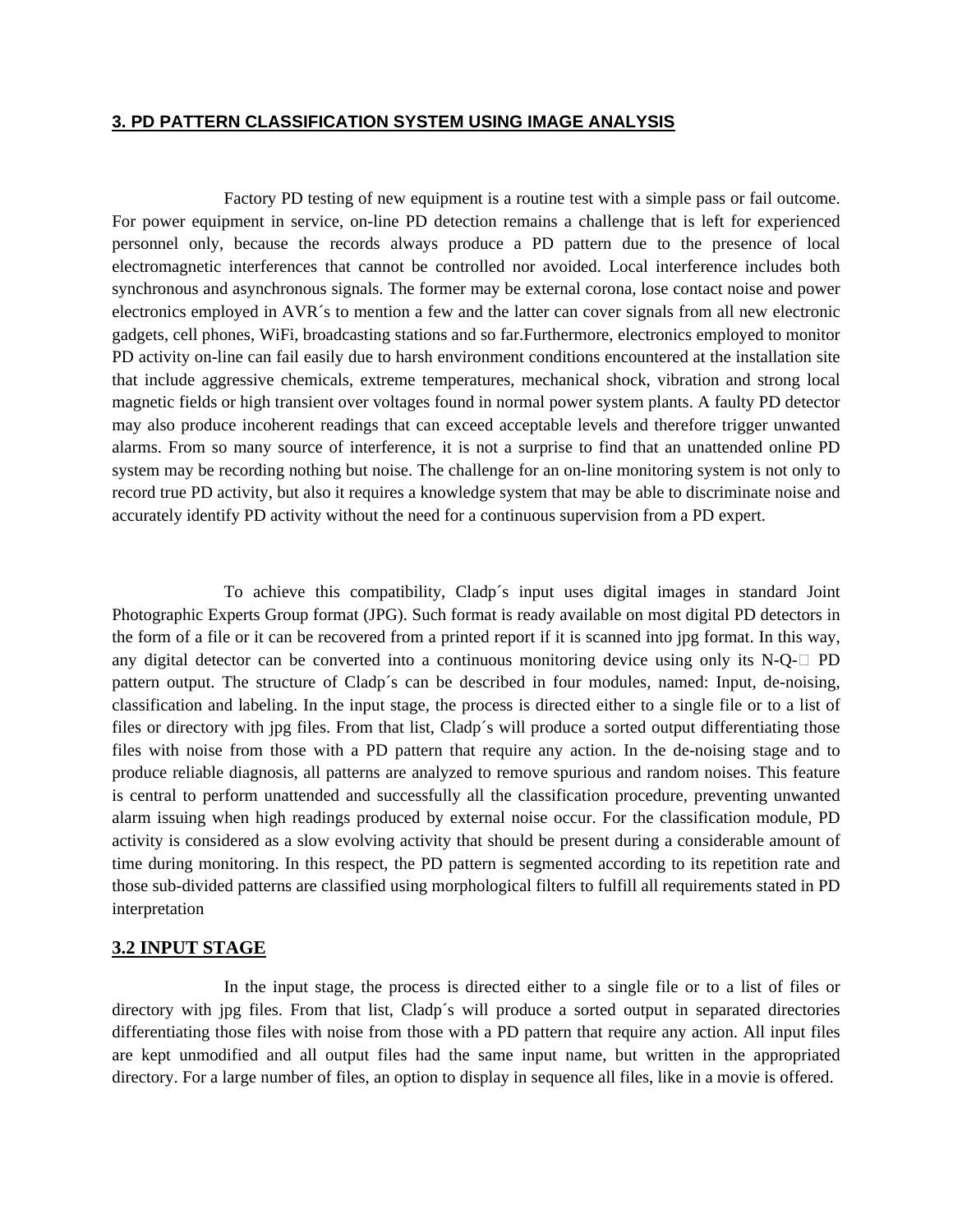## **3. PD PATTERN CLASSIFICATION SYSTEM USING IMAGE ANALYSIS**

Factory PD testing of new equipment is a routine test with a simple pass or fail outcome. For power equipment in service, on-line PD detection remains a challenge that is left for experienced personnel only, because the records always produce a PD pattern due to the presence of local electromagnetic interferences that cannot be controlled nor avoided. Local interference includes both synchronous and asynchronous signals. The former may be external corona, lose contact noise and power electronics employed in AVR´s to mention a few and the latter can cover signals from all new electronic gadgets, cell phones, WiFi, broadcasting stations and so far.Furthermore, electronics employed to monitor PD activity on-line can fail easily due to harsh environment conditions encountered at the installation site that include aggressive chemicals, extreme temperatures, mechanical shock, vibration and strong local magnetic fields or high transient over voltages found in normal power system plants. A faulty PD detector may also produce incoherent readings that can exceed acceptable levels and therefore trigger unwanted alarms. From so many source of interference, it is not a surprise to find that an unattended online PD system may be recording nothing but noise. The challenge for an on-line monitoring system is not only to record true PD activity, but also it requires a knowledge system that may be able to discriminate noise and accurately identify PD activity without the need for a continuous supervision from a PD expert.

To achieve this compatibility, Cladp´s input uses digital images in standard Joint Photographic Experts Group format (JPG). Such format is ready available on most digital PD detectors in the form of a file or it can be recovered from a printed report if it is scanned into jpg format. In this way, any digital detector can be converted into a continuous monitoring device using only its N-Q- $\Box$  PD pattern output. The structure of Cladp´s can be described in four modules, named: Input, de-noising, classification and labeling. In the input stage, the process is directed either to a single file or to a list of files or directory with jpg files. From that list, Cladp´s will produce a sorted output differentiating those files with noise from those with a PD pattern that require any action. In the de-noising stage and to produce reliable diagnosis, all patterns are analyzed to remove spurious and random noises. This feature is central to perform unattended and successfully all the classification procedure, preventing unwanted alarm issuing when high readings produced by external noise occur. For the classification module, PD activity is considered as a slow evolving activity that should be present during a considerable amount of time during monitoring. In this respect, the PD pattern is segmented according to its repetition rate and those sub-divided patterns are classified using morphological filters to fulfill all requirements stated in PD interpretation

### **3.2 INPUT STAGE**

In the input stage, the process is directed either to a single file or to a list of files or directory with jpg files. From that list, Cladp's will produce a sorted output in separated directories differentiating those files with noise from those with a PD pattern that require any action. All input files are kept unmodified and all output files had the same input name, but written in the appropriated directory. For a large number of files, an option to display in sequence all files, like in a movie is offered.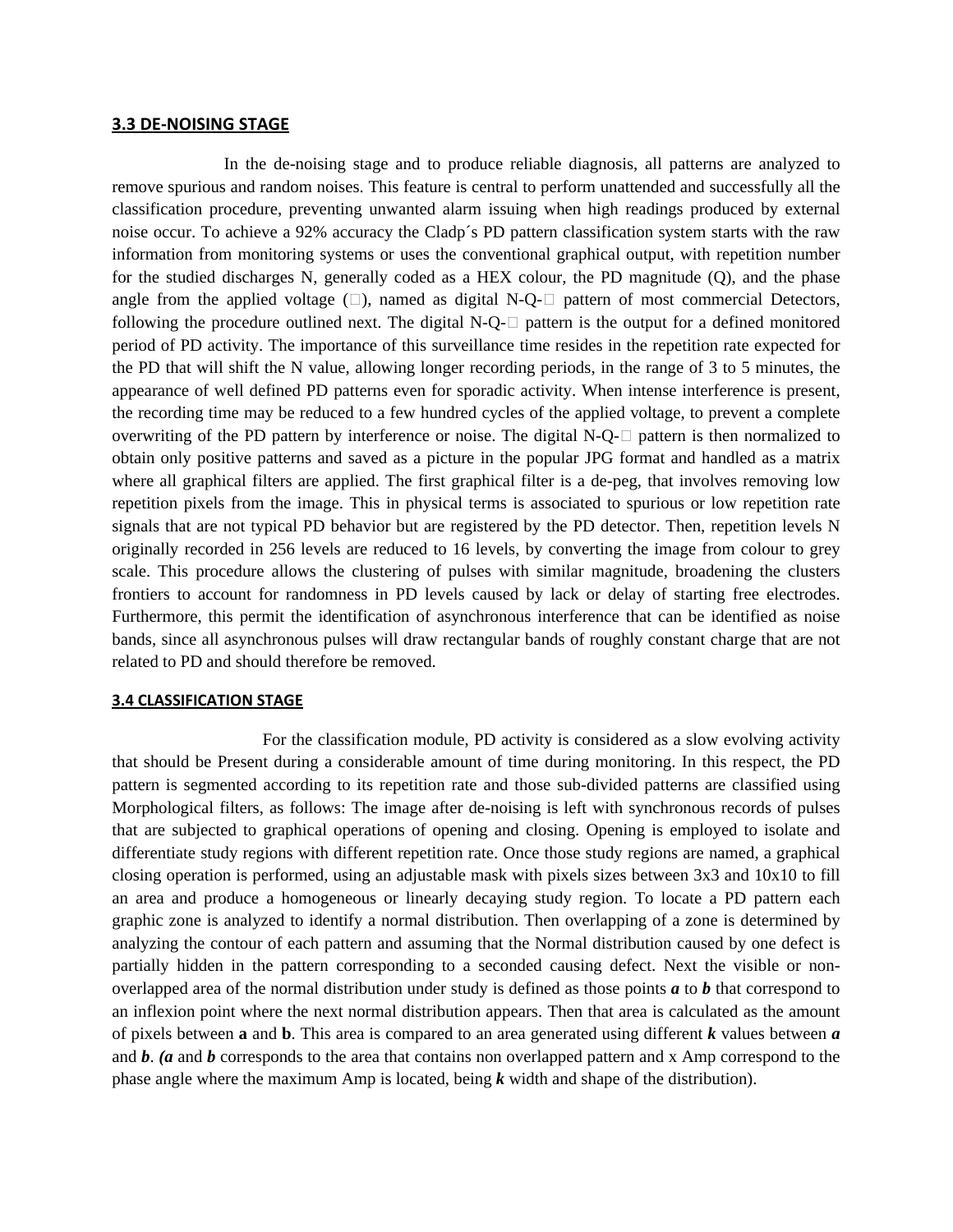#### **3.3 DE-NOISING STAGE**

In the de-noising stage and to produce reliable diagnosis, all patterns are analyzed to remove spurious and random noises. This feature is central to perform unattended and successfully all the classification procedure, preventing unwanted alarm issuing when high readings produced by external noise occur. To achieve a 92% accuracy the Cladp´s PD pattern classification system starts with the raw information from monitoring systems or uses the conventional graphical output, with repetition number for the studied discharges N, generally coded as a HEX colour, the PD magnitude (Q), and the phase angle from the applied voltage  $(\square)$ , named as digital N-Q- $\square$  pattern of most commercial Detectors, following the procedure outlined next. The digital N-Q- $\Box$  pattern is the output for a defined monitored period of PD activity. The importance of this surveillance time resides in the repetition rate expected for the PD that will shift the N value, allowing longer recording periods, in the range of 3 to 5 minutes, the appearance of well defined PD patterns even for sporadic activity. When intense interference is present, the recording time may be reduced to a few hundred cycles of the applied voltage, to prevent a complete overwriting of the PD pattern by interference or noise. The digital N-Q- $\Box$  pattern is then normalized to obtain only positive patterns and saved as a picture in the popular JPG format and handled as a matrix where all graphical filters are applied. The first graphical filter is a de-peg, that involves removing low repetition pixels from the image. This in physical terms is associated to spurious or low repetition rate signals that are not typical PD behavior but are registered by the PD detector. Then, repetition levels N originally recorded in 256 levels are reduced to 16 levels, by converting the image from colour to grey scale. This procedure allows the clustering of pulses with similar magnitude, broadening the clusters frontiers to account for randomness in PD levels caused by lack or delay of starting free electrodes. Furthermore, this permit the identification of asynchronous interference that can be identified as noise bands, since all asynchronous pulses will draw rectangular bands of roughly constant charge that are not related to PD and should therefore be removed.

#### **3.4 CLASSIFICATION STAGE**

 For the classification module, PD activity is considered as a slow evolving activity that should be Present during a considerable amount of time during monitoring. In this respect, the PD pattern is segmented according to its repetition rate and those sub-divided patterns are classified using Morphological filters, as follows: The image after de-noising is left with synchronous records of pulses that are subjected to graphical operations of opening and closing. Opening is employed to isolate and differentiate study regions with different repetition rate. Once those study regions are named, a graphical closing operation is performed, using an adjustable mask with pixels sizes between 3x3 and 10x10 to fill an area and produce a homogeneous or linearly decaying study region. To locate a PD pattern each graphic zone is analyzed to identify a normal distribution. Then overlapping of a zone is determined by analyzing the contour of each pattern and assuming that the Normal distribution caused by one defect is partially hidden in the pattern corresponding to a seconded causing defect. Next the visible or nonoverlapped area of the normal distribution under study is defined as those points *a* to *b* that correspond to an inflexion point where the next normal distribution appears. Then that area is calculated as the amount of pixels between **a** and **b**. This area is compared to an area generated using different *k* values between *a*  and *b*. *(a* and *b* corresponds to the area that contains non overlapped pattern and x Amp correspond to the phase angle where the maximum Amp is located, being *k* width and shape of the distribution).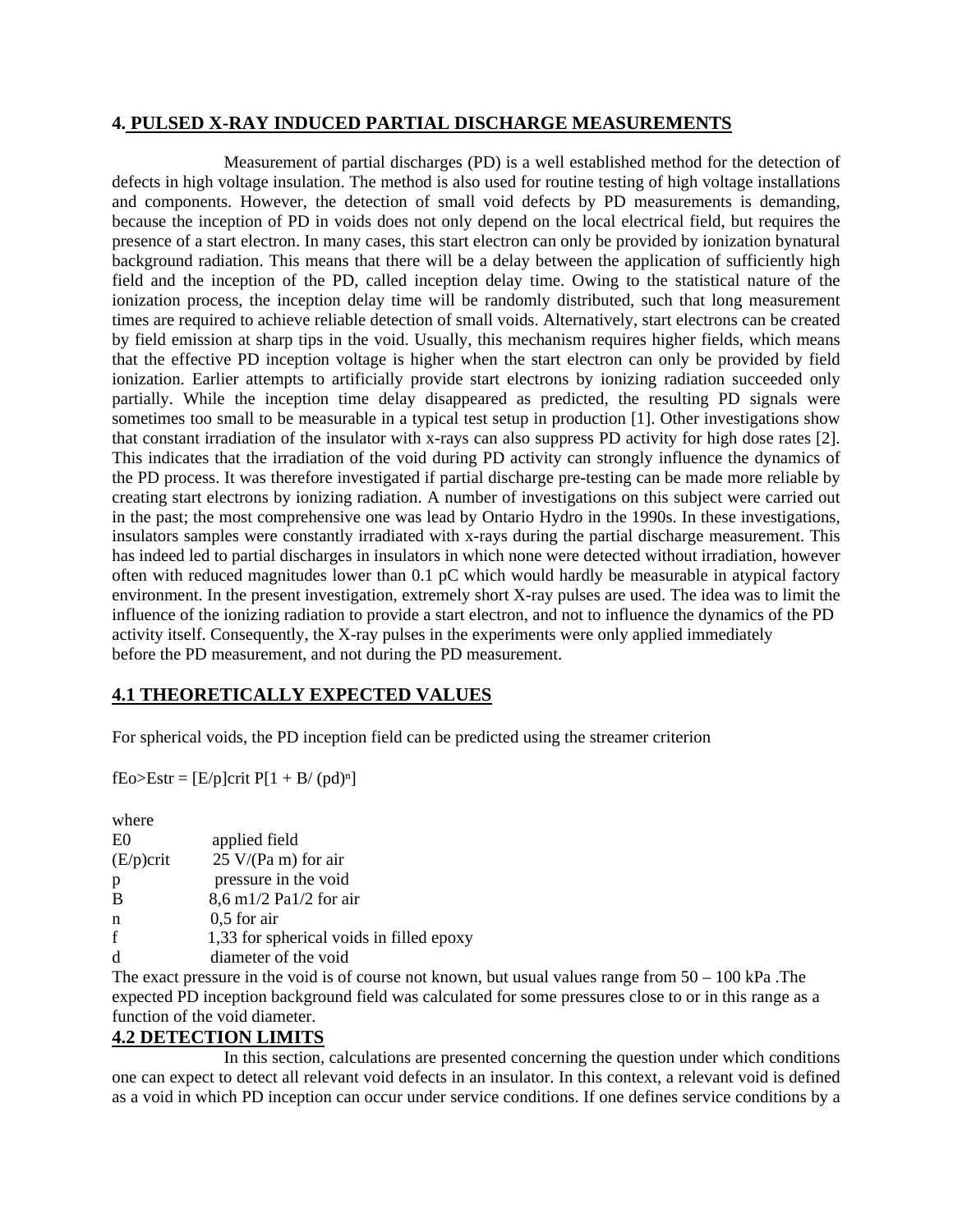## **4. PULSED X-RAY INDUCED PARTIAL DISCHARGE MEASUREMENTS**

Measurement of partial discharges (PD) is a well established method for the detection of defects in high voltage insulation. The method is also used for routine testing of high voltage installations and components. However, the detection of small void defects by PD measurements is demanding, because the inception of PD in voids does not only depend on the local electrical field, but requires the presence of a start electron. In many cases, this start electron can only be provided by ionization bynatural background radiation. This means that there will be a delay between the application of sufficiently high field and the inception of the PD, called inception delay time. Owing to the statistical nature of the ionization process, the inception delay time will be randomly distributed, such that long measurement times are required to achieve reliable detection of small voids. Alternatively, start electrons can be created by field emission at sharp tips in the void. Usually, this mechanism requires higher fields, which means that the effective PD inception voltage is higher when the start electron can only be provided by field ionization. Earlier attempts to artificially provide start electrons by ionizing radiation succeeded only partially. While the inception time delay disappeared as predicted, the resulting PD signals were sometimes too small to be measurable in a typical test setup in production [1]. Other investigations show that constant irradiation of the insulator with x-rays can also suppress PD activity for high dose rates [2]. This indicates that the irradiation of the void during PD activity can strongly influence the dynamics of the PD process. It was therefore investigated if partial discharge pre-testing can be made more reliable by creating start electrons by ionizing radiation. A number of investigations on this subject were carried out in the past; the most comprehensive one was lead by Ontario Hydro in the 1990s. In these investigations, insulators samples were constantly irradiated with x-rays during the partial discharge measurement. This has indeed led to partial discharges in insulators in which none were detected without irradiation, however often with reduced magnitudes lower than 0.1 pC which would hardly be measurable in atypical factory environment. In the present investigation, extremely short X-ray pulses are used. The idea was to limit the influence of the ionizing radiation to provide a start electron, and not to influence the dynamics of the PD activity itself. Consequently, the X-ray pulses in the experiments were only applied immediately before the PD measurement, and not during the PD measurement.

# **4.1 THEORETICALLY EXPECTED VALUES**

For spherical voids, the PD inception field can be predicted using the streamer criterion

fEo>Estr =  $[E/p]crit P[1 + B/(pd)<sup>n</sup>]$ 

| where          |                                          |
|----------------|------------------------------------------|
| E <sub>0</sub> | applied field                            |
| $(E/p)$ crit   | $25 \text{ V/(Pa m)}$ for air            |
| p              | pressure in the void                     |
| B              | $8,6 \text{ m}1/2 \text{ Pa}1/2$ for air |
| n              | $0,5$ for air                            |
| f              | 1,33 for spherical voids in filled epoxy |
| d              | diameter of the void                     |

The exact pressure in the void is of course not known, but usual values range from  $50 - 100$  kPa. The expected PD inception background field was calculated for some pressures close to or in this range as a function of the void diameter.

# **4.2 DETECTION LIMITS**

In this section, calculations are presented concerning the question under which conditions one can expect to detect all relevant void defects in an insulator. In this context, a relevant void is defined as a void in which PD inception can occur under service conditions. If one defines service conditions by a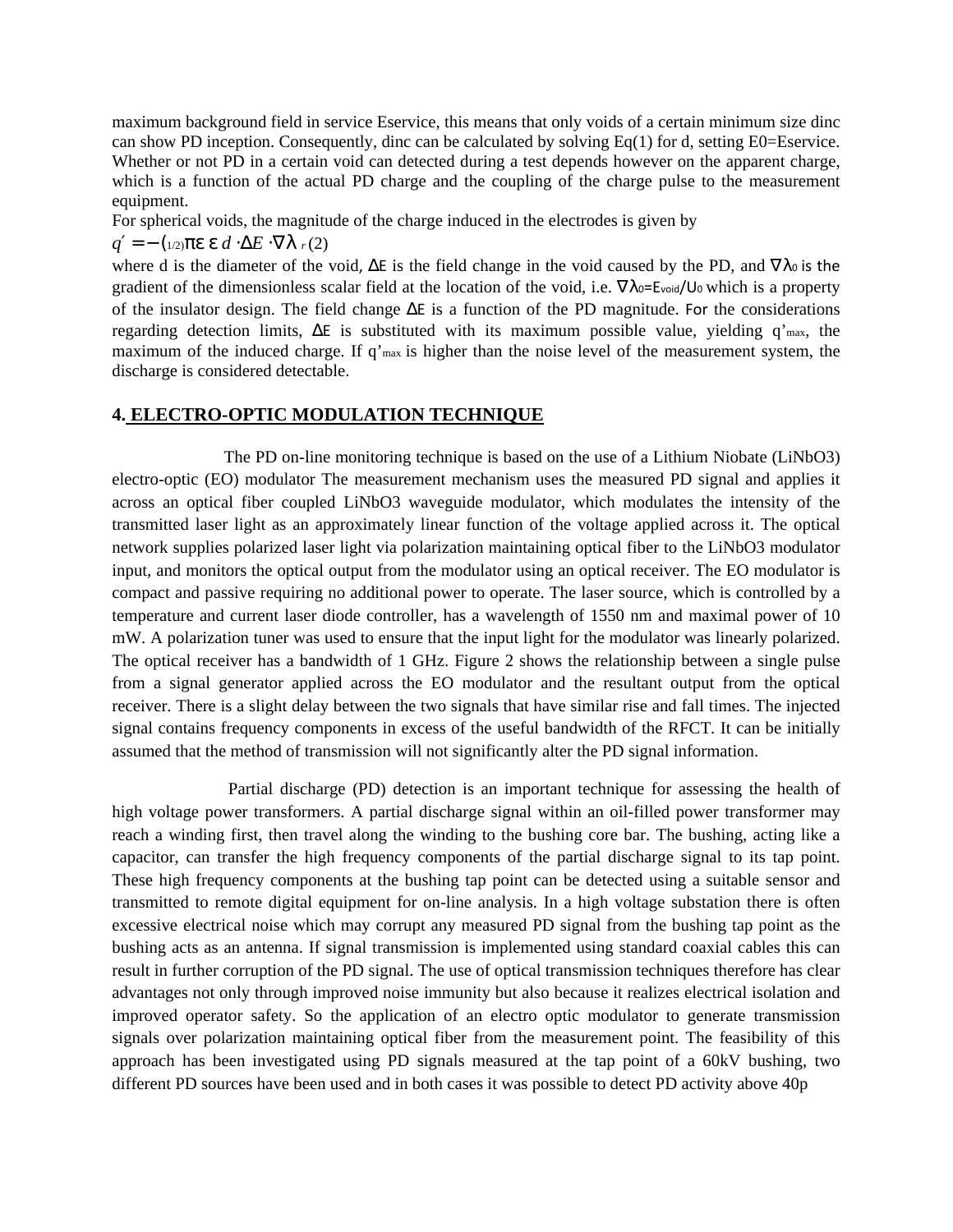maximum background field in service Eservice, this means that only voids of a certain minimum size dinc can show PD inception. Consequently, dinc can be calculated by solving  $Eq(1)$  for d, setting E0=Eservice. Whether or not PD in a certain void can detected during a test depends however on the apparent charge, which is a function of the actual PD charge and the coupling of the charge pulse to the measurement equipment.

For spherical voids, the magnitude of the charge induced in the electrodes is given by

 $q'$  = − (1/2)πε ε *d* ⋅Δ*E* ⋅ $\nabla$ λ *r*(2)

where d is the diameter of the void, ΔE is the field change in the void caused by the PD, and  $∇λ₀$  is the gradient of the dimensionless scalar field at the location of the void, i.e.  $\nabla \lambda_{0} = E_{\text{void}}/U_{0}$  which is a property of the insulator design. The field change ∆E is a function of the PD magnitude. For the considerations regarding detection limits, ∆E is substituted with its maximum possible value, yielding q'max, the maximum of the induced charge. If  $q'_{\text{max}}$  is higher than the noise level of the measurement system, the discharge is considered detectable.

#### **4. ELECTRO-OPTIC MODULATION TECHNIQUE**

The PD on-line monitoring technique is based on the use of a Lithium Niobate (LiNbO3) electro-optic (EO) modulator The measurement mechanism uses the measured PD signal and applies it across an optical fiber coupled LiNbO3 waveguide modulator, which modulates the intensity of the transmitted laser light as an approximately linear function of the voltage applied across it. The optical network supplies polarized laser light via polarization maintaining optical fiber to the LiNbO3 modulator input, and monitors the optical output from the modulator using an optical receiver. The EO modulator is compact and passive requiring no additional power to operate. The laser source, which is controlled by a temperature and current laser diode controller, has a wavelength of 1550 nm and maximal power of 10 mW. A polarization tuner was used to ensure that the input light for the modulator was linearly polarized. The optical receiver has a bandwidth of 1 GHz. Figure 2 shows the relationship between a single pulse from a signal generator applied across the EO modulator and the resultant output from the optical receiver. There is a slight delay between the two signals that have similar rise and fall times. The injected signal contains frequency components in excess of the useful bandwidth of the RFCT. It can be initially assumed that the method of transmission will not significantly alter the PD signal information.

 Partial discharge (PD) detection is an important technique for assessing the health of high voltage power transformers. A partial discharge signal within an oil-filled power transformer may reach a winding first, then travel along the winding to the bushing core bar. The bushing, acting like a capacitor, can transfer the high frequency components of the partial discharge signal to its tap point. These high frequency components at the bushing tap point can be detected using a suitable sensor and transmitted to remote digital equipment for on-line analysis. In a high voltage substation there is often excessive electrical noise which may corrupt any measured PD signal from the bushing tap point as the bushing acts as an antenna. If signal transmission is implemented using standard coaxial cables this can result in further corruption of the PD signal. The use of optical transmission techniques therefore has clear advantages not only through improved noise immunity but also because it realizes electrical isolation and improved operator safety. So the application of an electro optic modulator to generate transmission signals over polarization maintaining optical fiber from the measurement point. The feasibility of this approach has been investigated using PD signals measured at the tap point of a 60kV bushing, two different PD sources have been used and in both cases it was possible to detect PD activity above 40p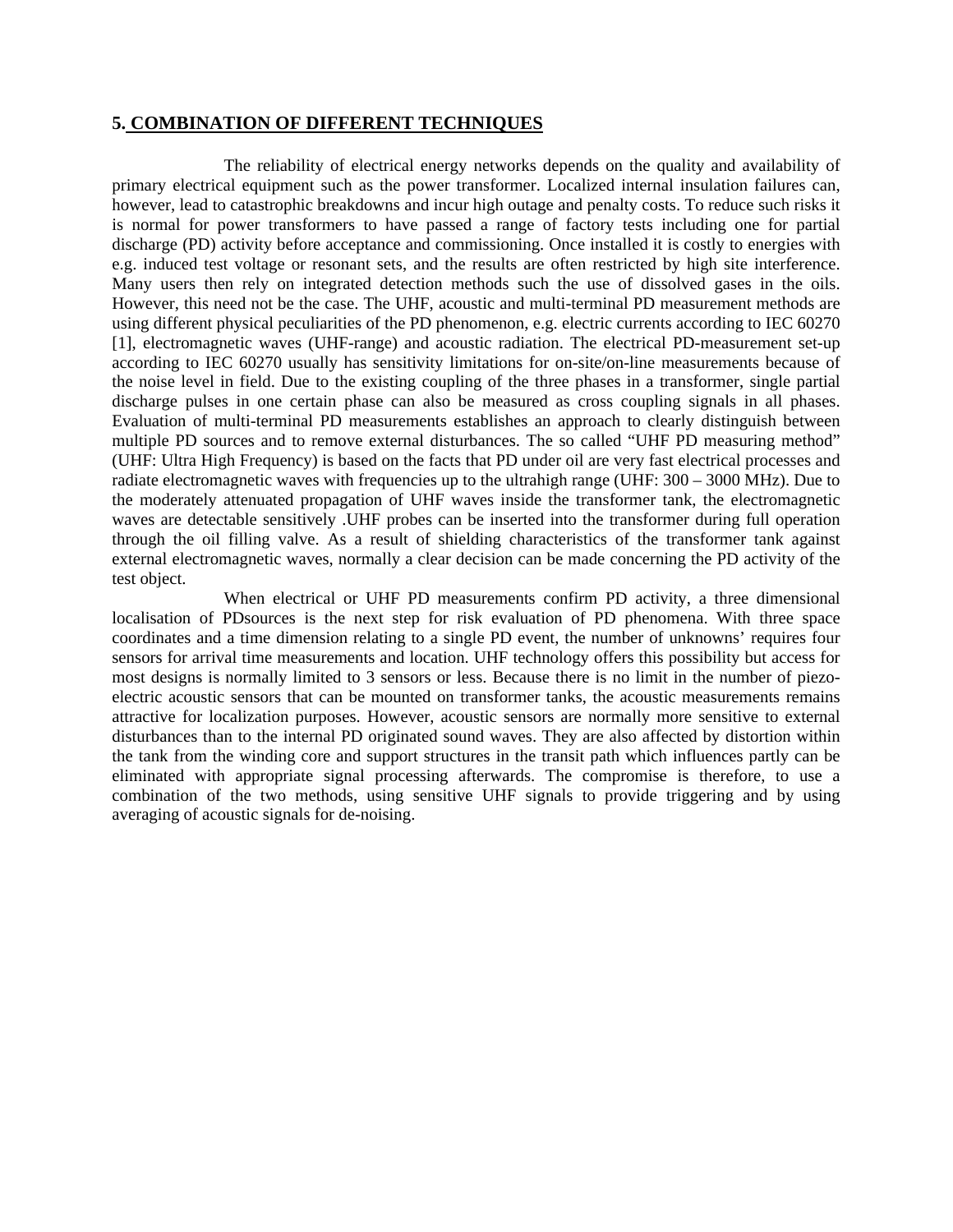#### **5. COMBINATION OF DIFFERENT TECHNIQUES**

The reliability of electrical energy networks depends on the quality and availability of primary electrical equipment such as the power transformer. Localized internal insulation failures can, however, lead to catastrophic breakdowns and incur high outage and penalty costs. To reduce such risks it is normal for power transformers to have passed a range of factory tests including one for partial discharge (PD) activity before acceptance and commissioning. Once installed it is costly to energies with e.g. induced test voltage or resonant sets, and the results are often restricted by high site interference. Many users then rely on integrated detection methods such the use of dissolved gases in the oils. However, this need not be the case. The UHF, acoustic and multi-terminal PD measurement methods are using different physical peculiarities of the PD phenomenon, e.g. electric currents according to IEC 60270 [1], electromagnetic waves (UHF-range) and acoustic radiation. The electrical PD-measurement set-up according to IEC 60270 usually has sensitivity limitations for on-site/on-line measurements because of the noise level in field. Due to the existing coupling of the three phases in a transformer, single partial discharge pulses in one certain phase can also be measured as cross coupling signals in all phases. Evaluation of multi-terminal PD measurements establishes an approach to clearly distinguish between multiple PD sources and to remove external disturbances. The so called "UHF PD measuring method" (UHF: Ultra High Frequency) is based on the facts that PD under oil are very fast electrical processes and radiate electromagnetic waves with frequencies up to the ultrahigh range (UHF: 300 – 3000 MHz). Due to the moderately attenuated propagation of UHF waves inside the transformer tank, the electromagnetic waves are detectable sensitively .UHF probes can be inserted into the transformer during full operation through the oil filling valve. As a result of shielding characteristics of the transformer tank against external electromagnetic waves, normally a clear decision can be made concerning the PD activity of the test object.

When electrical or UHF PD measurements confirm PD activity, a three dimensional localisation of PDsources is the next step for risk evaluation of PD phenomena. With three space coordinates and a time dimension relating to a single PD event, the number of unknowns' requires four sensors for arrival time measurements and location. UHF technology offers this possibility but access for most designs is normally limited to 3 sensors or less. Because there is no limit in the number of piezoelectric acoustic sensors that can be mounted on transformer tanks, the acoustic measurements remains attractive for localization purposes. However, acoustic sensors are normally more sensitive to external disturbances than to the internal PD originated sound waves. They are also affected by distortion within the tank from the winding core and support structures in the transit path which influences partly can be eliminated with appropriate signal processing afterwards. The compromise is therefore, to use a combination of the two methods, using sensitive UHF signals to provide triggering and by using averaging of acoustic signals for de-noising.